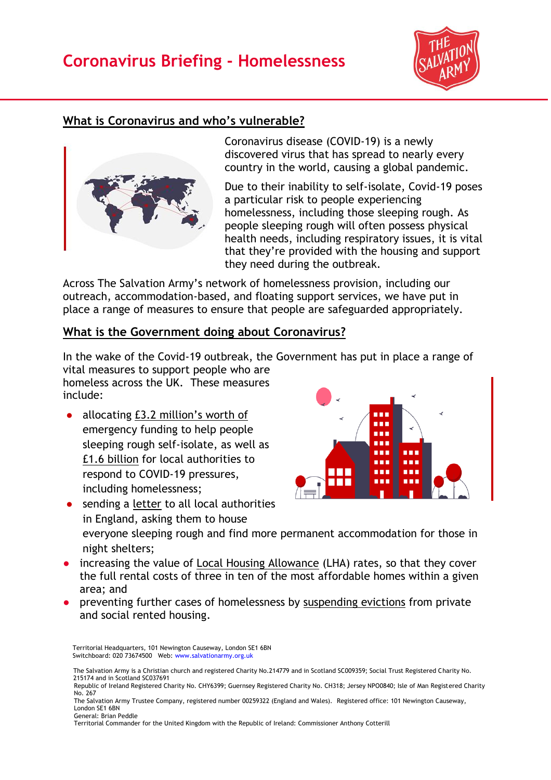# **Coronavirus Briefing - Homelessness**



### **What is Coronavirus and who's vulnerable?**



Coronavirus disease (COVID-19) is a newly discovered virus that has spread to nearly every country in the world, causing a global pandemic.

Due to their inability to self-isolate, Covid-19 poses a particular risk to people experiencing homelessness, including those sleeping rough. As people sleeping rough will often possess physical health needs, including respiratory issues, it is vital that they're provided with the housing and support they need during the outbreak.

Across The Salvation Army's network of homelessness provision, including our outreach, accommodation-based, and floating support services, we have put in place a range of measures to ensure that people are safeguarded appropriately.

#### **What is the Government doing about Coronavirus?**

In the wake of the Covid-19 outbreak, the Government has put in place a range of vital measures to support people who are

homeless across the UK. These measures include:

● allocating [£3.2 million](https://www.gov.uk/government/news/3-2-million-emergency-support-for-rough-sleepers-during-coronavirus-outbreak)'s worth of emergency funding to help people sleeping rough self-isolate, as well as [£1.6 billion](https://www.gov.uk/government/news/2-9-billion-funding-to-strengthen-care-for-the-vulnerable) for local authorities to respond to COVID-19 pressures, including homelessness;



● sending a [letter](https://www.gov.uk/government/publications/letter-from-minister-hall-to-local-authorities) to all local authorities in England, asking them to house

everyone sleeping rough and find more permanent accommodation for those in night shelters;

- increasing the value of [Local Housing Allowance](https://www.gov.uk/guidance/local-housing-allowance) (LHA) rates, so that they cover the full rental costs of three in ten of the most affordable homes within a given area; and
- preventing further cases of homelessness by [suspending evictions](https://www.gov.uk/government/news/complete-ban-on-evictions-and-additional-protection-for-renters) from private and social rented housing.

 Territorial Headquarters, 101 Newington Causeway, London SE1 6BN Switchboard: 020 73674500 Web: [www.salvationarmy.org.uk](http://www.salvationarmy.org.uk/)

The Salvation Army is a Christian church and registered Charity No.214779 and in Scotland SC009359; Social Trust Registered Charity No. 215174 and in Scotland SC037691

Republic of Ireland Registered Charity No. CHY6399; Guernsey Registered Charity No. CH318; Jersey NPO0840; Isle of Man Registered Charity No. 267

The Salvation Army Trustee Company, registered number 00259322 (England and Wales). Registered office: 101 Newington Causeway, London SE1 6BN General: Brian Peddle

Territorial Commander for the United Kingdom with the Republic of Ireland: Commissioner Anthony Cotterill